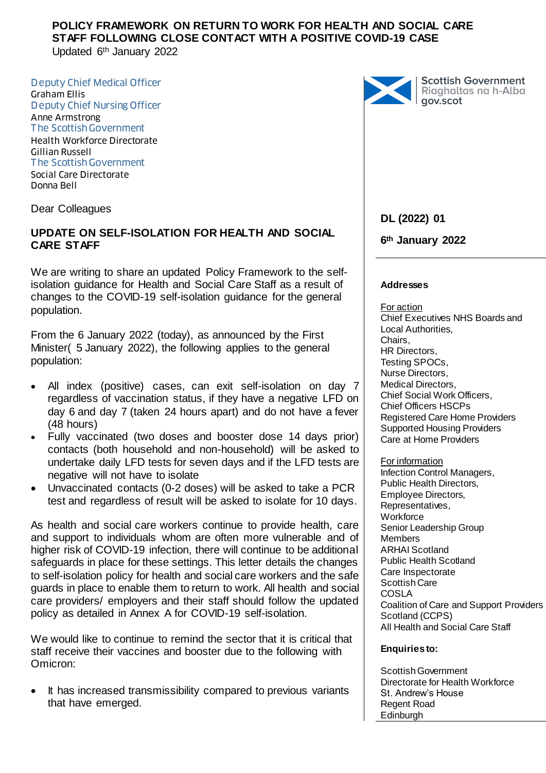Updated 6th January 2022

Deputy Chief Medical Officer Graham Ellis Deputy Chief Nursing Officer Anne Armstrong The Scottish Government Health Workforce Directorate Gillian Russell The Scottish Government Social Care Directorate Donna Bell

Dear Colleagues

## **UPDATE ON SELF-ISOLATION FOR HEALTH AND SOCIAL CARE STAFF**

We are writing to share an updated Policy Framework to the selfisolation guidance for Health and Social Care Staff as a result of changes to the COVID-19 self-isolation guidance for the general population.

From the 6 January 2022 (today), as announced by the First Minister( 5 January 2022), the following applies to the general population:

- All index (positive) cases, can exit self-isolation on day 7 regardless of vaccination status, if they have a negative LFD on day 6 and day 7 (taken 24 hours apart) and do not have a fever (48 hours)
- Fully vaccinated (two doses and booster dose 14 days prior) contacts (both household and non-household) will be asked to undertake daily LFD tests for seven days and if the LFD tests are negative will not have to isolate
- Unvaccinated contacts (0-2 doses) will be asked to take a PCR test and regardless of result will be asked to isolate for 10 days.

As health and social care workers continue to provide health, care and support to individuals whom are often more vulnerable and of higher risk of COVID-19 infection, there will continue to be additional safeguards in place for these settings. This letter details the changes to self-isolation policy for health and social care workers and the safe guards in place to enable them to return to work. All health and social care providers/ employers and their staff should follow the updated policy as detailed in Annex A for COVID-19 self-isolation.

We would like to continue to remind the sector that it is critical that staff receive their vaccines and booster due to the following with Omicron:

 It has increased transmissibility compared to previous variants that have emerged.



Scottish Government<br>Riaghaltas na h-Alba<br>gov.scot

### **DL (2022) 01**

**6th January 2022**

#### **Addresses**

For action Chief Executives NHS Boards and Local Authorities, Chairs, HR Directors, Testing SPOCs, Nurse Directors, Medical Directors, Chief Social Work Officers, Chief Officers HSCPs Registered Care Home Providers Supported Housing Providers Care at Home Providers

#### For information

Infection Control Managers, Public Health Directors, Employee Directors, Representatives, **Workforce** Senior Leadership Group **Members** ARHAI Scotland Public Health Scotland Care Inspectorate Scottish Care COSLA Coalition of Care and Support Providers Scotland (CCPS) All Health and Social Care Staff

#### **Enquiries to:**

Scottish Government Directorate for Health Workforce St. Andrew's House Regent Road Edinburgh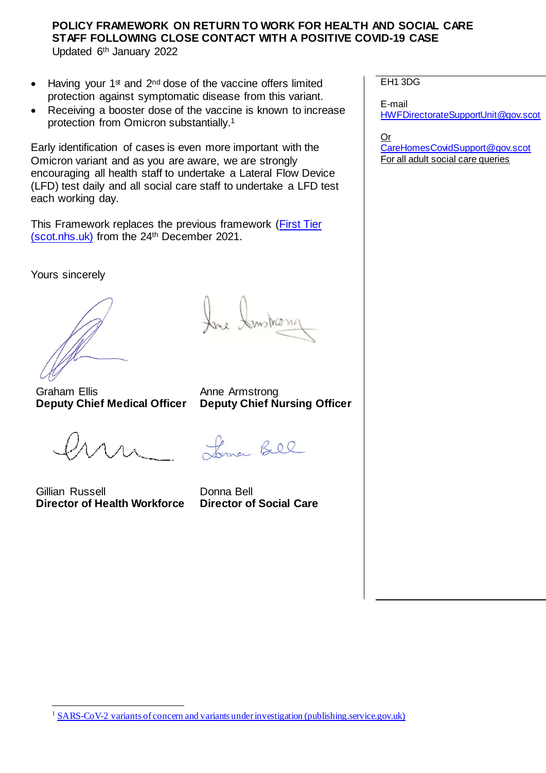$\bullet$  Having your 1<sup>st</sup> and 2<sup>nd</sup> dose of the vaccine offers limited protection against symptomatic disease from this variant.

 Receiving a booster dose of the vaccine is known to increase protection from Omicron substantially. 1

Early identification of cases is even more important with the Omicron variant and as you are aware, we are strongly encouraging all health staff to undertake a Lateral Flow Device (LFD) test daily and all social care staff to undertake a LFD test each working day.

This Framework replaces the previous framework [\(First Tier](https://www.sehd.scot.nhs.uk/dl/DL(2021)50.pdf)  [\(scot.nhs.uk\)](https://www.sehd.scot.nhs.uk/dl/DL(2021)50.pdf) from the 24th December 2021.

Yours sincerely

Graham Ellis **Deputy Chief Medical Officer**

Lynne Bell

**Deputy Chief Nursing Officer** 

Instranc

Anne Armstrong

Gillian Russell **Director of Health Workforce** 

1

Donna Bell **Director of Social Care**

EH1 3DG

E-mail [HWFDirectorateSupportUnit@gov.scot](mailto:HWFDirectorateSupportUnit@gov.scot)

Or [CareHomesCovidSupport@gov.scot](mailto:CareHomesCovidSupport@gov.scot) For all adult social care queries

<sup>&</sup>lt;sup>1</sup> [SARS-CoV-2 variants of concern and variants under investigation \(publishing.service.gov.uk\)](https://assets.publishing.service.gov.uk/government/uploads/system/uploads/attachment_data/file/1040076/Technical_Briefing_31.pdf)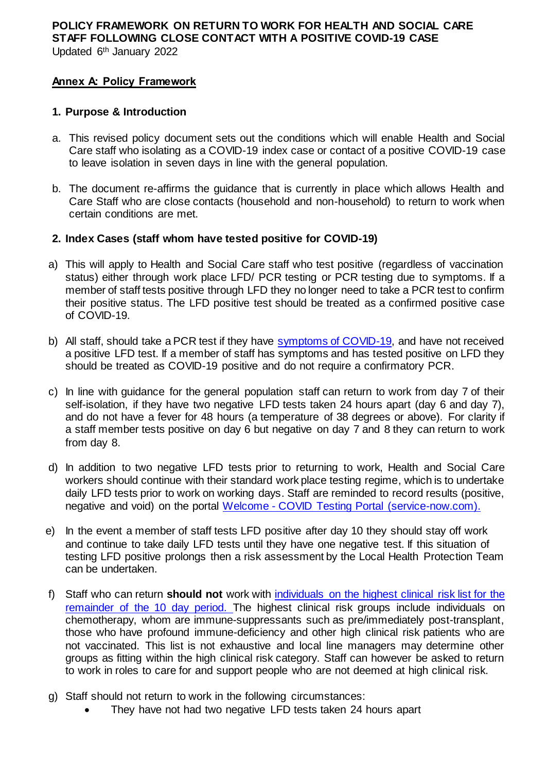Updated 6th January 2022

## **Annex A: Policy Framework**

#### **1. Purpose & Introduction**

- a. This revised policy document sets out the conditions which will enable Health and Social Care staff who isolating as a COVID-19 index case or contact of a positive COVID-19 case to leave isolation in seven days in line with the general population.
- b. The document re-affirms the guidance that is currently in place which allows Health and Care Staff who are close contacts (household and non-household) to return to work when certain conditions are met.
- **2. Index Cases (staff whom have tested positive for COVID-19)**
- a) This will apply to Health and Social Care staff who test positive (regardless of vaccination status) either through work place LFD/ PCR testing or PCR testing due to symptoms. If a member of staff tests positive through LFD they no longer need to take a PCR test to confirm their positive status. The LFD positive test should be treated as a confirmed positive case of COVID-19.
- b) All staff, should take a PCR test if they have [symptoms of COVID-19,](https://www.nhsinform.scot/illnesses-and-conditions/infections-and-poisoning/coronavirus-covid-19/coronavirus-covid-19-general-advice) and have not received a positive LFD test. If a member of staff has symptoms and has tested positive on LFD they should be treated as COVID-19 positive and do not require a confirmatory PCR.
- c) In line with guidance for the general population staff can return to work from day 7 of their self-isolation, if they have two negative LFD tests taken 24 hours apart (day 6 and day 7), and do not have a fever for 48 hours (a temperature of 38 degrees or above). For clarity if a staff member tests positive on day 6 but negative on day 7 and 8 they can return to work from day 8.
- d) In addition to two negative LFD tests prior to returning to work, Health and Social Care workers should continue with their standard work place testing regime, which is to undertake daily LFD tests prior to work on working days. Staff are reminded to record results (positive, negative and void) on the portal Welcome - [COVID Testing Portal \(service-now.com\).](https://nhsnss.service-now.com/covidtesting)
- e) In the event a member of staff tests LFD positive after day 10 they should stay off work and continue to take daily LFD tests until they have one negative test. If this situation of testing LFD positive prolongs then a risk assessment by the Local Health Protection Team can be undertaken.
- f) Staff who can return **should not** work with [individuals on the highest clinical risk list](https://www.gov.scot/publications/covid-highest-risk/pages/highest-risk-classification/) for the remainder of the 10 day period. The highest clinical risk groups include individuals on chemotherapy, whom are immune-suppressants such as pre/immediately post-transplant, those who have profound immune-deficiency and other high clinical risk patients who are not vaccinated. This list is not exhaustive and local line managers may determine other groups as fitting within the high clinical risk category. Staff can however be asked to return to work in roles to care for and support people who are not deemed at high clinical risk.
- g) Staff should not return to work in the following circumstances:
	- They have not had two negative LFD tests taken 24 hours apart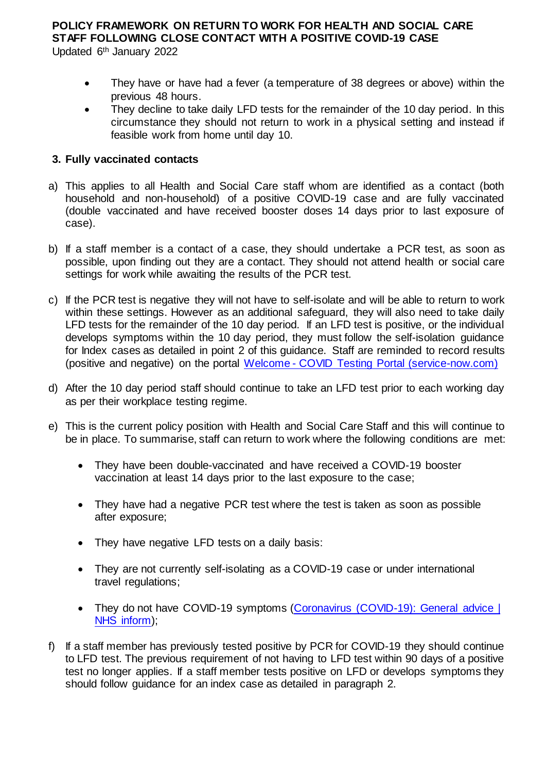Updated 6th January 2022

- They have or have had a fever (a temperature of 38 degrees or above) within the previous 48 hours.
- They decline to take daily LFD tests for the remainder of the 10 day period. In this circumstance they should not return to work in a physical setting and instead if feasible work from home until day 10.

### **3. Fully vaccinated contacts**

- a) This applies to all Health and Social Care staff whom are identified as a contact (both household and non-household) of a positive COVID-19 case and are fully vaccinated (double vaccinated and have received booster doses 14 days prior to last exposure of case).
- b) If a staff member is a contact of a case, they should undertake a PCR test, as soon as possible, upon finding out they are a contact. They should not attend health or social care settings for work while awaiting the results of the PCR test.
- c) If the PCR test is negative they will not have to self-isolate and will be able to return to work within these settings. However as an additional safeguard, they will also need to take daily LFD tests for the remainder of the 10 day period. If an LFD test is positive, or the individual develops symptoms within the 10 day period, they must follow the self-isolation guidance for Index cases as detailed in point 2 of this guidance. Staff are reminded to record results (positive and negative) on the portal Welcome - [COVID Testing Portal \(service-now.com\)](https://nhsnss.service-now.com/covidtesting)
- d) After the 10 day period staff should continue to take an LFD test prior to each working day as per their workplace testing regime.
- e) This is the current policy position with Health and Social Care Staff and this will continue to be in place. To summarise, staff can return to work where the following conditions are met:
	- They have been double-vaccinated and have received a COVID-19 booster vaccination at least 14 days prior to the last exposure to the case;
	- They have had a negative PCR test where the test is taken as soon as possible after exposure;
	- They have negative LFD tests on a daily basis:
	- They are not currently self-isolating as a COVID-19 case or under international travel regulations;
	- They do not have COVID-19 symptoms (Coronavirus (COVID-19): General advice | [NHS inform\)](https://www.nhsinform.scot/illnesses-and-conditions/infections-and-poisoning/coronavirus-covid-19/coronavirus-covid-19-general-advice);
- f) If a staff member has previously tested positive by PCR for COVID-19 they should continue to LFD test. The previous requirement of not having to LFD test within 90 days of a positive test no longer applies. If a staff member tests positive on LFD or develops symptoms they should follow guidance for an index case as detailed in paragraph 2.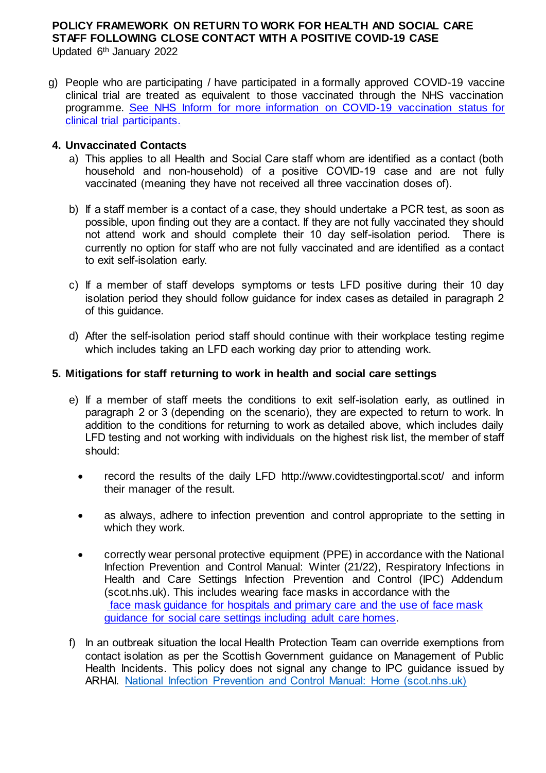Updated 6th January 2022

g) People who are participating / have participated in a formally approved COVID-19 vaccine clinical trial are treated as equivalent to those vaccinated through the NHS vaccination programme. [See NHS Inform for more information on COVID-19](https://www.nhsinform.scot/clinicaltrialparticipants) vaccination status for [clinical trial participants.](https://www.nhsinform.scot/clinicaltrialparticipants)

#### **4. Unvaccinated Contacts**

- a) This applies to all Health and Social Care staff whom are identified as a contact (both household and non-household) of a positive COVID-19 case and are not fully vaccinated (meaning they have not received all three vaccination doses of).
- b) If a staff member is a contact of a case, they should undertake a PCR test, as soon as possible, upon finding out they are a contact. If they are not fully vaccinated they should not attend work and should complete their 10 day self-isolation period. There is currently no option for staff who are not fully vaccinated and are identified as a contact to exit self-isolation early.
- c) If a member of staff develops symptoms or tests LFD positive during their 10 day isolation period they should follow guidance for index cases as detailed in paragraph 2 of this guidance.
- d) After the self-isolation period staff should continue with their workplace testing regime which includes taking an LFD each working day prior to attending work.

### **5. Mitigations for staff returning to work in health and social care settings**

- e) If a member of staff meets the conditions to exit self-isolation early, as outlined in paragraph 2 or 3 (depending on the scenario), they are expected to return to work. In addition to the conditions for returning to work as detailed above, which includes daily LFD testing and not working with individuals on the highest risk list, the member of staff should:
	- record the results of the daily LFD<http://www.covidtestingportal.scot/> and inform their manager of the result.
	- as always, adhere [to infection prevention and control appropriate to the setting](https://www.nipcm.scot.nhs.uk/winter-2122-respiratory-infections-in-health-and-care-settings-infection-prevention-and-control-ipc-addendum/) in which they work.
	- correctly wear personal protective equipment (PPE) in accordance with the [National](https://www.nipcm.scot.nhs.uk/winter-2122-respiratory-infections-in-health-and-care-settings-infection-prevention-and-control-ipc-addendum/)  [Infection Prevention and Control Manual: Winter \(21/22\), Respiratory Infections in](https://www.nipcm.scot.nhs.uk/winter-2122-respiratory-infections-in-health-and-care-settings-infection-prevention-and-control-ipc-addendum/)  Health and [Care Settings Infection Prevention and Control \(IPC\) Addendum](https://www.nipcm.scot.nhs.uk/winter-2122-respiratory-infections-in-health-and-care-settings-infection-prevention-and-control-ipc-addendum/)  [\(scot.nhs.uk\).](https://www.nipcm.scot.nhs.uk/winter-2122-respiratory-infections-in-health-and-care-settings-infection-prevention-and-control-ipc-addendum/) This includes wearing face masks in accordance with the [face mask guidance for hospitals and primary care](https://www.gov.scot/publications/coronavirus-covid-19-interim-guidance-on-the-extended-use-of-face-masks-in-hospitals-and-care-homes/) and the [use of face mask](https://www.gov.scot/publications/coronavirus-covid-19-use-of-face-coverings-in-social-care-settings-including-adult-care-homes/)  [guidance for social care settings including adult care homes.](https://www.gov.scot/publications/coronavirus-covid-19-use-of-face-coverings-in-social-care-settings-including-adult-care-homes/)
- f) In an outbreak situation the local Health Protection Team can override exemptions from contact isolation as per the Scottish Government guidance on Management of Public Health Incidents. This policy does not signal any change to IPC guidance issued by ARHAI. [National Infection Prevention and Control Manual: Home \(scot.nhs.uk\)](https://www.nipcm.hps.scot.nhs.uk/)